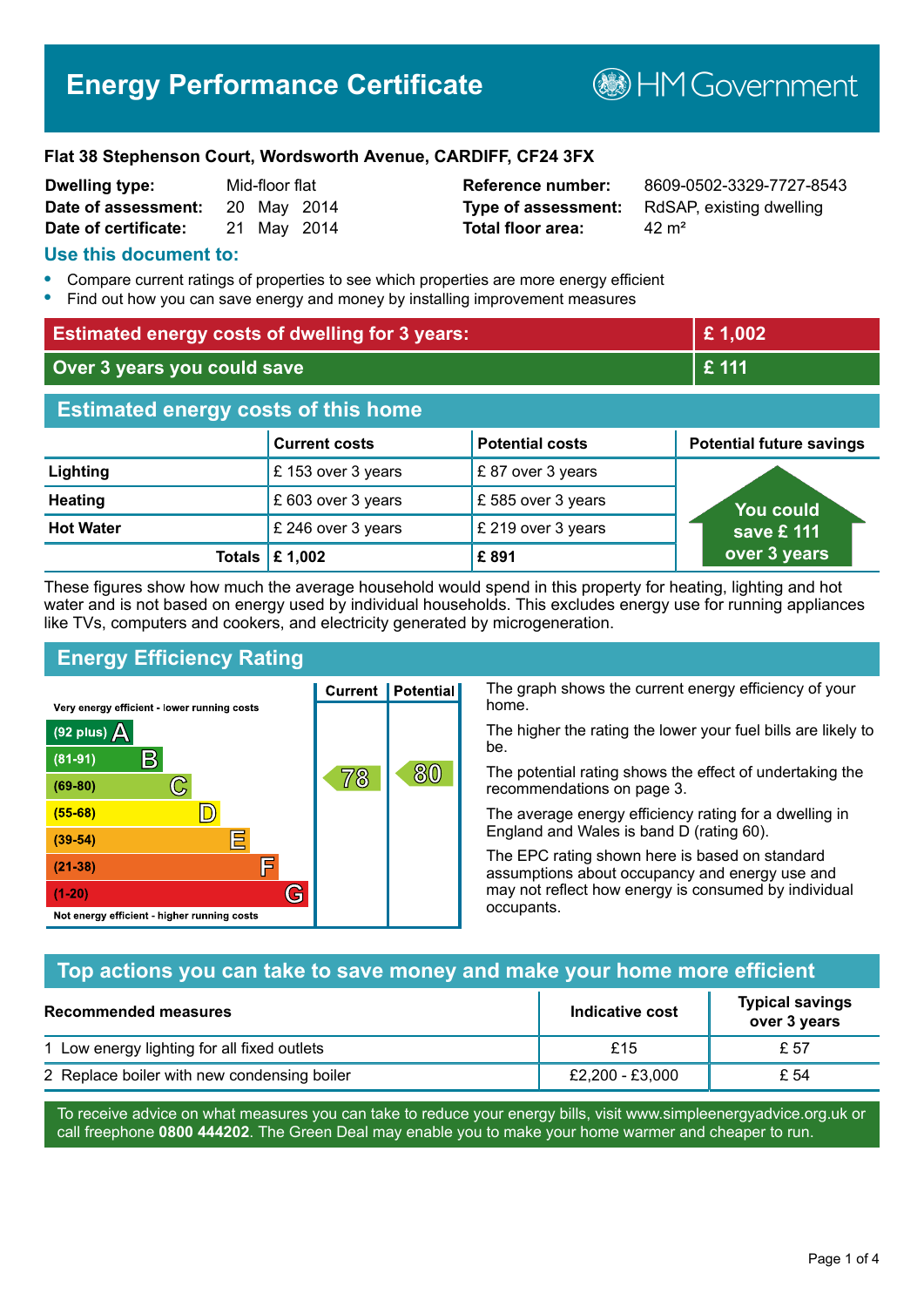**BHM Government** 

#### **Flat 38 Stephenson Court, Wordsworth Avenue, CARDIFF, CF24 3FX**

| <b>Dwelling type:</b> | Mid-floor flat |  |
|-----------------------|----------------|--|
| Date of assessment:   | 20 May 2014    |  |
| Date of certificate:  | 21 May 2014    |  |

# **Total floor area:** 42 m<sup>2</sup>

**Reference number:** 8609-0502-3329-7727-8543 **Type of assessment:** RdSAP, existing dwelling

### **Use this document to:**

- **•** Compare current ratings of properties to see which properties are more energy efficient
- **•** Find out how you can save energy and money by installing improvement measures

| <b>Estimated energy costs of dwelling for 3 years:</b> |                                 |                        | £1,002                          |
|--------------------------------------------------------|---------------------------------|------------------------|---------------------------------|
| Over 3 years you could save                            |                                 | £ 111                  |                                 |
| <b>Estimated energy costs of this home</b>             |                                 |                        |                                 |
|                                                        | <b>Current costs</b>            | <b>Potential costs</b> | <b>Potential future savings</b> |
| Lighting                                               | £153 over 3 years               | £87 over 3 years       |                                 |
| <b>Heating</b>                                         | £ 603 over 3 years              | £585 over 3 years      | <b>You could</b>                |
| <b>Hot Water</b>                                       | £ 246 over 3 years              | £ 219 over 3 years     | save £ 111                      |
|                                                        | Totals $\mathbf \epsilon$ 1,002 | £891                   | over 3 years                    |

These figures show how much the average household would spend in this property for heating, lighting and hot water and is not based on energy used by individual households. This excludes energy use for running appliances like TVs, computers and cookers, and electricity generated by microgeneration.

**Current | Potential** 

78

# **Energy Efficiency Rating**

C

 $\mathbb{D}$ 

E

肩

G

Very energy efficient - lower running costs

R

Not energy efficient - higher running costs

(92 plus)  $\Delta$ 

 $(81 - 91)$ 

 $(69 - 80)$ 

 $(55-68)$  $(39-54)$ 

 $(21-38)$ 

 $(1-20)$ 

The graph shows the current energy efficiency of your home.

The higher the rating the lower your fuel bills are likely to be.

The potential rating shows the effect of undertaking the recommendations on page 3.

The average energy efficiency rating for a dwelling in England and Wales is band D (rating 60).

The EPC rating shown here is based on standard assumptions about occupancy and energy use and may not reflect how energy is consumed by individual occupants.

## **Top actions you can take to save money and make your home more efficient**

80

| Recommended measures                        | Indicative cost | <b>Typical savings</b><br>over 3 years |
|---------------------------------------------|-----------------|----------------------------------------|
| 1 Low energy lighting for all fixed outlets | £15             | £ 57                                   |
| 2 Replace boiler with new condensing boiler | £2,200 - £3,000 | £ 54                                   |

To receive advice on what measures you can take to reduce your energy bills, visit www.simpleenergyadvice.org.uk or call freephone **0800 444202**. The Green Deal may enable you to make your home warmer and cheaper to run.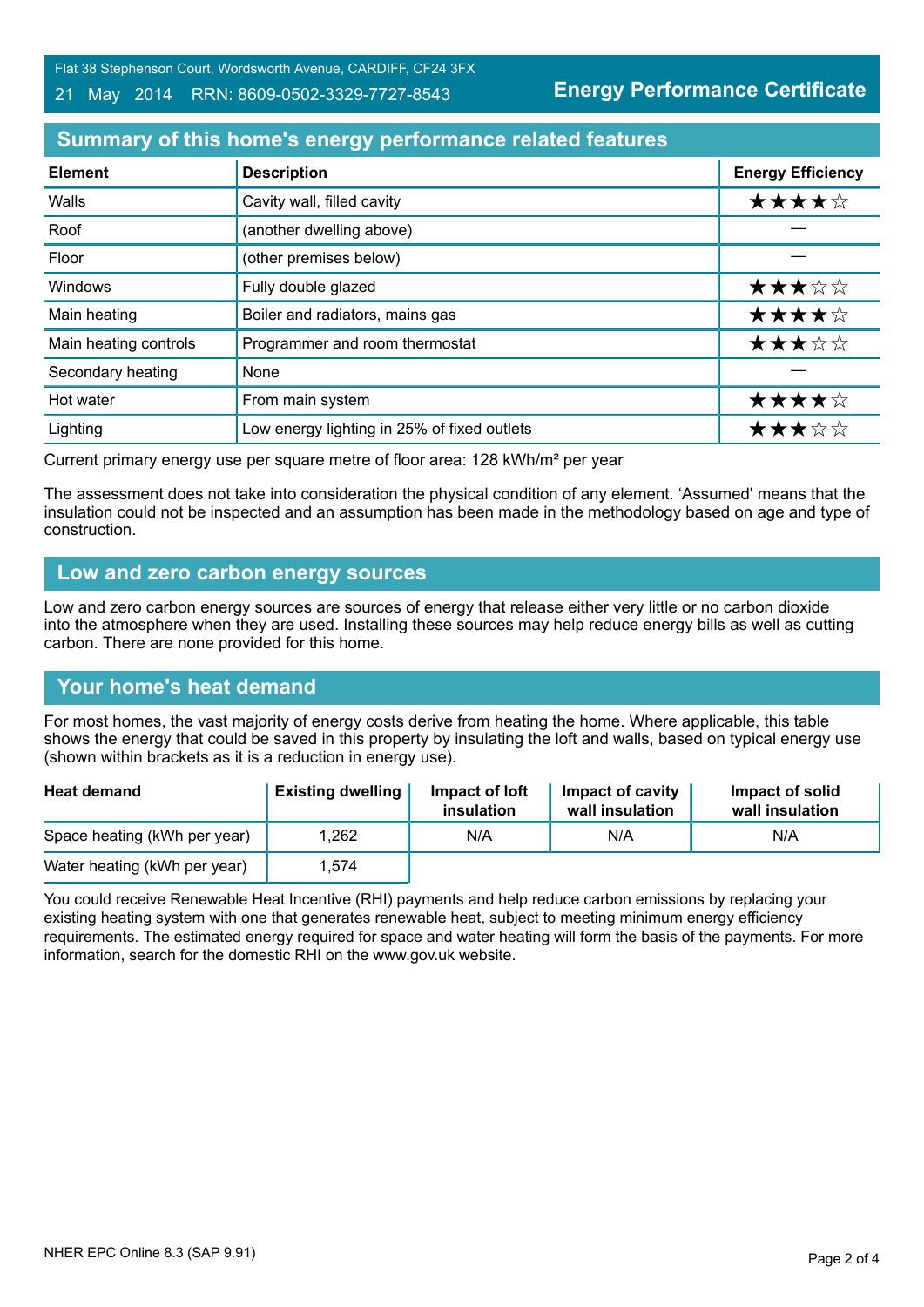Flat 38 Stephenson Court, Wordsworth Avenue, CARDIFF, CF24 3FX

21 May 2014 RRN: 8609-0502-3329-7727-8543

**Energy Performance Certificate**

# **Summary of this home's energy performance related features**

| <b>Element</b>        | <b>Description</b>                          | <b>Energy Efficiency</b> |
|-----------------------|---------------------------------------------|--------------------------|
| Walls                 | Cavity wall, filled cavity                  | ★★★★☆                    |
| Roof                  | (another dwelling above)                    |                          |
| Floor                 | (other premises below)                      |                          |
| Windows               | Fully double glazed                         | ★★★☆☆                    |
| Main heating          | Boiler and radiators, mains gas             | ★★★★☆                    |
| Main heating controls | Programmer and room thermostat              | ★★★☆☆                    |
| Secondary heating     | None                                        |                          |
| Hot water             | From main system                            | ★★★★☆                    |
| Lighting              | Low energy lighting in 25% of fixed outlets | ★★★☆☆                    |

Current primary energy use per square metre of floor area: 128 kWh/m² per year

The assessment does not take into consideration the physical condition of any element. 'Assumed' means that the insulation could not be inspected and an assumption has been made in the methodology based on age and type of construction.

## **Low and zero carbon energy sources**

Low and zero carbon energy sources are sources of energy that release either very little or no carbon dioxide into the atmosphere when they are used. Installing these sources may help reduce energy bills as well as cutting carbon. There are none provided for this home.

## **Your home's heat demand**

For most homes, the vast majority of energy costs derive from heating the home. Where applicable, this table shows the energy that could be saved in this property by insulating the loft and walls, based on typical energy use (shown within brackets as it is a reduction in energy use).

| <b>Heat demand</b>           | <b>Existing dwelling</b> | Impact of loft<br>insulation | Impact of cavity<br>wall insulation | Impact of solid<br>wall insulation |
|------------------------------|--------------------------|------------------------------|-------------------------------------|------------------------------------|
| Space heating (kWh per year) | 1,262                    | N/A                          | N/A                                 | N/A                                |
| Water heating (kWh per year) | 1,574                    |                              |                                     |                                    |

You could receive Renewable Heat Incentive (RHI) payments and help reduce carbon emissions by replacing your existing heating system with one that generates renewable heat, subject to meeting minimum energy efficiency requirements. The estimated energy required for space and water heating will form the basis of the payments. For more information, search for the domestic RHI on the www.gov.uk website.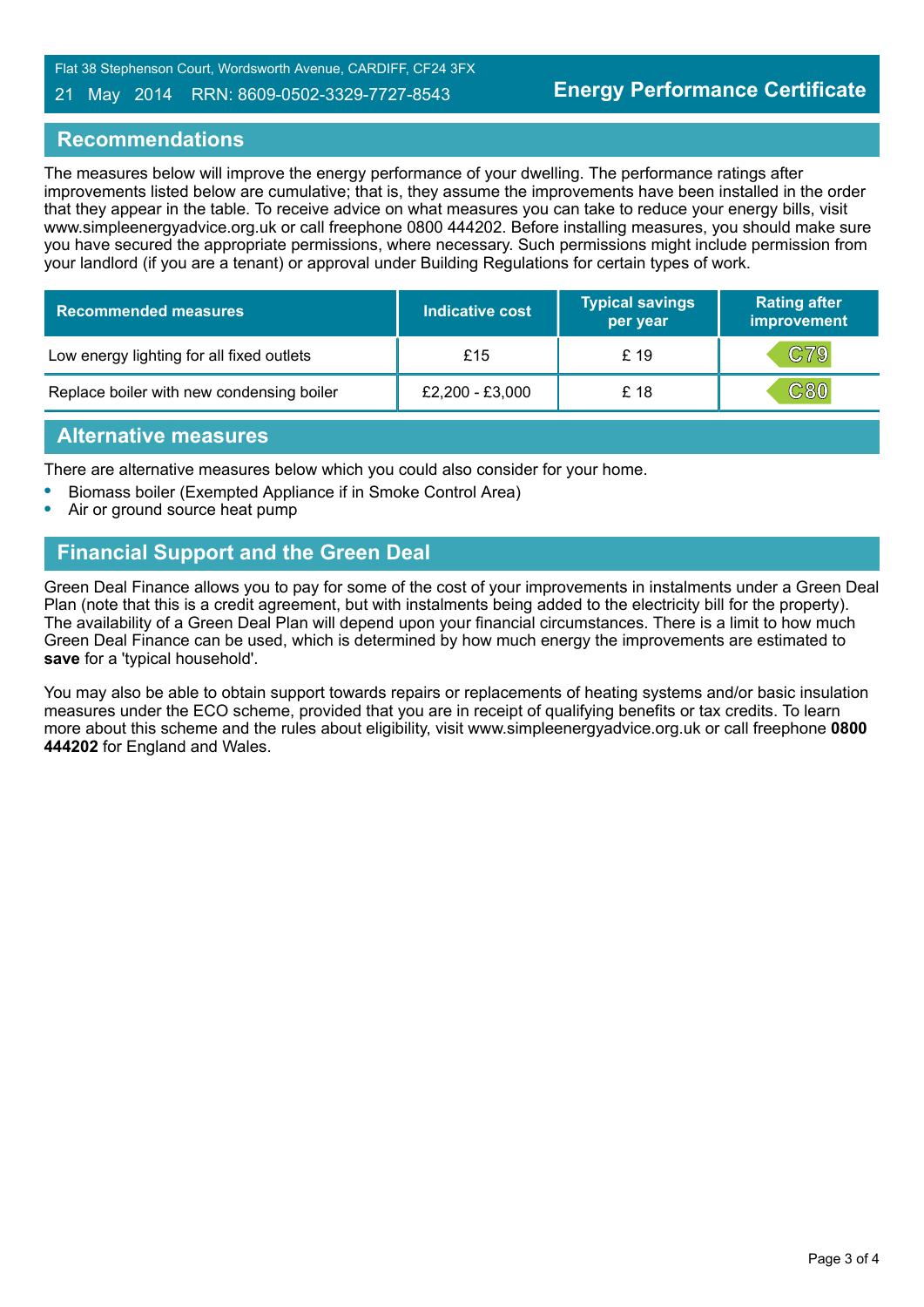Flat 38 Stephenson Court, Wordsworth Avenue, CARDIFF, CF24 3FX

#### 21 May 2014 RRN: 8609-0502-3329-7727-8543

## **Recommendations**

The measures below will improve the energy performance of your dwelling. The performance ratings after improvements listed below are cumulative; that is, they assume the improvements have been installed in the order that they appear in the table. To receive advice on what measures you can take to reduce your energy bills, visit www.simpleenergyadvice.org.uk or call freephone 0800 444202. Before installing measures, you should make sure you have secured the appropriate permissions, where necessary. Such permissions might include permission from your landlord (if you are a tenant) or approval under Building Regulations for certain types of work.

| <b>Recommended measures</b>               | <b>Indicative cost</b> | <b>Typical savings</b><br>per year | <b>Rating after</b><br>improvement |
|-------------------------------------------|------------------------|------------------------------------|------------------------------------|
| Low energy lighting for all fixed outlets | £15                    | £ 19                               | C79                                |
| Replace boiler with new condensing boiler | £2,200 - £3,000        | £ 18                               | C80                                |

## **Alternative measures**

There are alternative measures below which you could also consider for your home.

- **•** Biomass boiler (Exempted Appliance if in Smoke Control Area)
- **•** Air or ground source heat pump

## **Financial Support and the Green Deal**

Green Deal Finance allows you to pay for some of the cost of your improvements in instalments under a Green Deal Plan (note that this is a credit agreement, but with instalments being added to the electricity bill for the property). The availability of a Green Deal Plan will depend upon your financial circumstances. There is a limit to how much Green Deal Finance can be used, which is determined by how much energy the improvements are estimated to **save** for a 'typical household'.

You may also be able to obtain support towards repairs or replacements of heating systems and/or basic insulation measures under the ECO scheme, provided that you are in receipt of qualifying benefits or tax credits. To learn more about this scheme and the rules about eligibility, visit www.simpleenergyadvice.org.uk or call freephone **0800 444202** for England and Wales.